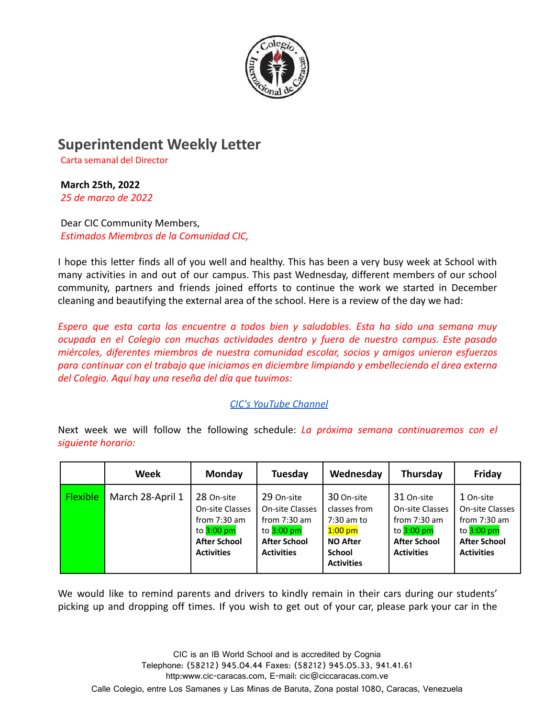

## **Superintendent Weekly Letter**

Carta semanal del Director

## **March 25th, 2022**

*25 de marzo de 2022*

Dear CIC Community Members, *Estimados Miembros de la Comunidad CIC,*

I hope this letter finds all of you well and healthy. This has been a very busy week at School with many activities in and out of our campus. This past Wednesday, different members of our school community, partners and friends joined efforts to continue the work we started in December cleaning and beautifying the external area of the school. Here is a review of the day we had:

*Espero que esta carta los encuentre a todos bien y saludables. Esta ha sido una semana muy ocupada en el Colegio con muchas actividades dentro y fuera de nuestro campus. Este pasado miércoles, diferentes miembros de nuestra comunidad escolar, socios y amigos unieron esfuerzos para continuar con el trabajo que iniciamos en diciembre limpiando y embelleciendo el área externa del Colegio. Aquí hay una reseña del día que tuvimos:*

## *[CIC's YouTube Channel](https://www.youtube.com/watch?v=Fw-Fyii_tmg)*

Next week we will follow the following schedule: *La próxima semana continuaremos con el siguiente horario:*

|                 | <b>Week</b>      | Monday                                                                                                      | <b>Tuesday</b>                                                                                              | Wednesday                                                                                                        | Thursday                                                                                                    | Friday                                                                                                     |
|-----------------|------------------|-------------------------------------------------------------------------------------------------------------|-------------------------------------------------------------------------------------------------------------|------------------------------------------------------------------------------------------------------------------|-------------------------------------------------------------------------------------------------------------|------------------------------------------------------------------------------------------------------------|
| <b>Flexible</b> | March 28-April 1 | 28 On-site<br>On-site Classes<br>from $7:30$ am<br>to $3:00$ pm<br><b>After School</b><br><b>Activities</b> | 29 On-site<br>On-site Classes<br>from $7:30$ am<br>to $3:00$ pm<br><b>After School</b><br><b>Activities</b> | 30 On-site<br>classes from<br>$7:30$ am to<br>$1:00$ pm<br><b>NO After</b><br><b>School</b><br><b>Activities</b> | 31 On-site<br>On-site Classes<br>from $7:30$ am<br>to $3:00$ pm<br><b>After School</b><br><b>Activities</b> | 1 On-site<br>On-site Classes<br>from $7:30$ am<br>to $3:00$ pm<br><b>After School</b><br><b>Activities</b> |

We would like to remind parents and drivers to kindly remain in their cars during our students' picking up and dropping off times. If you wish to get out of your car, please park your car in the